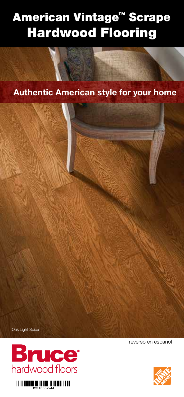# American Vintage™ Scrape Hardwood Flooring

**Authentic American style for your home**







reverso en español

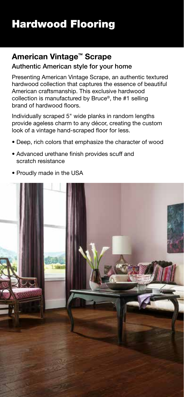# Hardwood Flooring

### **American Vintage™ Scrape**

### Authentic American style for your home

Presenting American Vintage Scrape, an authentic textured hardwood collection that captures the essence of beautiful American craftsmanship. This exclusive hardwood collection is manufactured by Bruce®, the #1 selling brand of hardwood floors.

Individually scraped 5" wide planks in random lengths provide ageless charm to any décor, creating the custom look of a vintage hand-scraped floor for less.

- Deep, rich colors that emphasize the character of wood
- Advanced urethane finish provides scuff and scratch resistance
- Proudly made in the USA

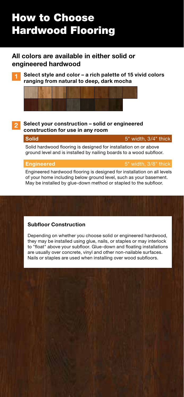# How to Choose Hardwood Flooring

### **All colors are available in either solid or engineered hardwood**

**1 Select style and color – a rich palette of 15 vivid colors ranging from natural to deep, dark mocha**



#### **2 Select your construction – solid or engineered construction for use in any room**

**Solid** 5" width, 3/4" thick

Solid hardwood flooring is designed for installation on or above ground level and is installed by nailing boards to a wood subfloor.

**Engineered** 5" width, 3/8" thick

Engineered hardwood flooring is designed for installation on all levels of your home including below ground level, such as your basement. May be installed by glue-down method or stapled to the subfloor.

### **Subfloor Construction**

Depending on whether you choose solid or engineered hardwood, they may be installed using glue, nails, or staples or may interlock to "float" above your subfloor. Glue-down and floating installations are usually over concrete, vinyl and other non-nailable surfaces. Nails or staples are used when installing over wood subfloors.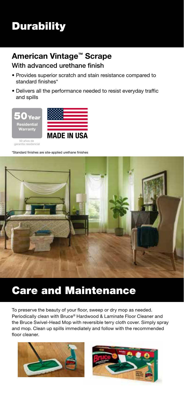## **Durability**

### **American Vintage™ Scrape**

### With advanced urethane finish

- Provides superior scratch and stain resistance compared to standard finishes\*
- Delivers all the performance needed to resist everyday traffic and spills



\*Standard finishes are site-applied urethane finishes



### Care and Maintenance

To preserve the beauty of your floor, sweep or dry mop as needed. Periodically clean with Bruce® Hardwood & Laminate Floor Cleaner and the Bruce Swivel-Head Mop with reversible terry cloth cover. Simply spray and mop. Clean up spills immediately and follow with the recommended floor cleaner.



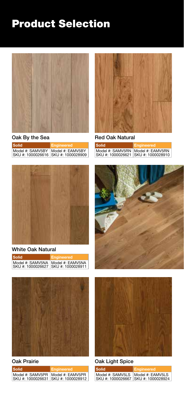

Oak By the Sea

| <b>Solid</b>                                            | Engineered       |
|---------------------------------------------------------|------------------|
| Model #: SAMV5BY<br>SKU #: 1000026616 SKU #: 1000028909 | Model #: EAMV5BY |



#### White Oak Natural

| <b>Solid</b>                                                                 | Engineered |
|------------------------------------------------------------------------------|------------|
| Model #: SAMV5NA   Model #: EAMV5NA<br>ISKU #: 1000026627 ISKU #: 1000028911 |            |



#### Oak Prairie

| <b>Solid</b>                        | Engineered                          |
|-------------------------------------|-------------------------------------|
| Model #: SAMV5PR   Model #: EAMV5PR | SKU #: 1000026631 SKU #: 1000028912 |



Red Oak Natural

| Solid                                                                      | Engineered |
|----------------------------------------------------------------------------|------------|
| Model #: SAMV5RN   Model #: EAMV5RN<br>SKU #: 1000026621 SKU #: 1000028910 |            |





### Oak Light Spice

| Solid                                                                       | Engineered |
|-----------------------------------------------------------------------------|------------|
| Model #: SAMV5LS   Model #: EAMV5LS<br>SKU #: 1000026667  SKU #: 1000028924 |            |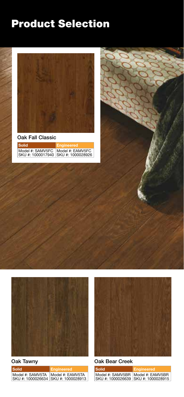

Oak Fall Classic

| <b>Solid</b> | Engineered                                                                   |
|--------------|------------------------------------------------------------------------------|
|              | Model #: SAMV5FC   Model #: EAMV5FC  <br>SKU #: 1000017940 SKU #: 1000028926 |



Oak Tawny

| Solid                                                   | Engineered       |
|---------------------------------------------------------|------------------|
| Model #: SAMV5TA<br>SKU #: 1000026634 SKU #: 1000028913 | Model #: EAMV5TA |



### Oak Bear Creek

| Solid                                                                      | <b>Engineered</b> |
|----------------------------------------------------------------------------|-------------------|
| Model #: SAMV5BR   Model #: EAMV5BR<br>SKU #: 1000026639 SKU #: 1000028915 |                   |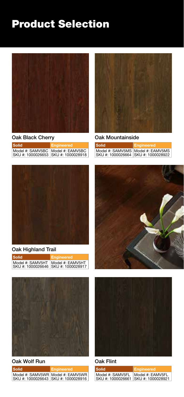

Oak Black Cherry

| <b>Solid</b>                                                               | Engineered |
|----------------------------------------------------------------------------|------------|
| Model #: SAMV5BC   Model #: EAMV5BC<br>SKU #: 1000026653 SKU #: 1000028918 |            |



### Oak Highland Trail

| <b>Solid</b>                                              | Engineered       |
|-----------------------------------------------------------|------------------|
| Model #: SAMV5HT<br>ISKU #: 1000026646 ISKU #: 1000028917 | Model #: EAMV5HT |



#### Oak Wolf Run

| <b>Solid</b>                        | Engineered                          |
|-------------------------------------|-------------------------------------|
| SKU #: 1000026643 SKU #: 1000028916 | Model #: SAMV5WR   Model #: EAMV5WR |



Oak Mountainside

| Solid                                                                      | Engineered |
|----------------------------------------------------------------------------|------------|
| Model #: SAMV5MS   Model #: EAMV5MS<br>SKU #: 1000026664 SKU #: 1000028922 |            |





### Oak Flint

| Solid            | Engineered                                               |
|------------------|----------------------------------------------------------|
| Model #: SAMV5FL | Model #: EAMV5FL<br>SKU #: 1000026661  SKU #: 1000028921 |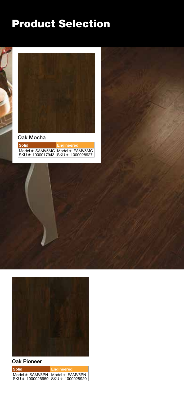

Oak Mocha

| <b>Solid</b>                          | Engineered                          |
|---------------------------------------|-------------------------------------|
| SKU #: 1000017943   SKU #: 1000028927 | Model #: SAMV5MC   Model #: EAMV5MC |



### Oak Pioneer

| <b>Solid</b>                                                                 | Engineered |
|------------------------------------------------------------------------------|------------|
| Model #: SAMV5PN   Model #: EAMV5PN<br>ISKU #: 1000026659 ISKU #: 1000028920 |            |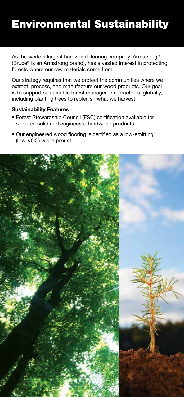### Environmental Sustainability

As the world's largest hardwood flooring company, Armstrong® (Bruce® is an Armstrong brand), has a vested interest in protecting forests where our raw materials come from.

Our strategy requires that we protect the communities where we extract, process, and manufacture our wood products. Our goal is to support sustainable forest management practices, globally, including planting trees to replenish what we harvest.

#### **Sustainability Features**

- Forest Stewardship Council (FSC) certification available for selected solid and engineered hardwood products
- Our engineered wood flooring is certified as a low-emitting (low-VOC) wood prouct